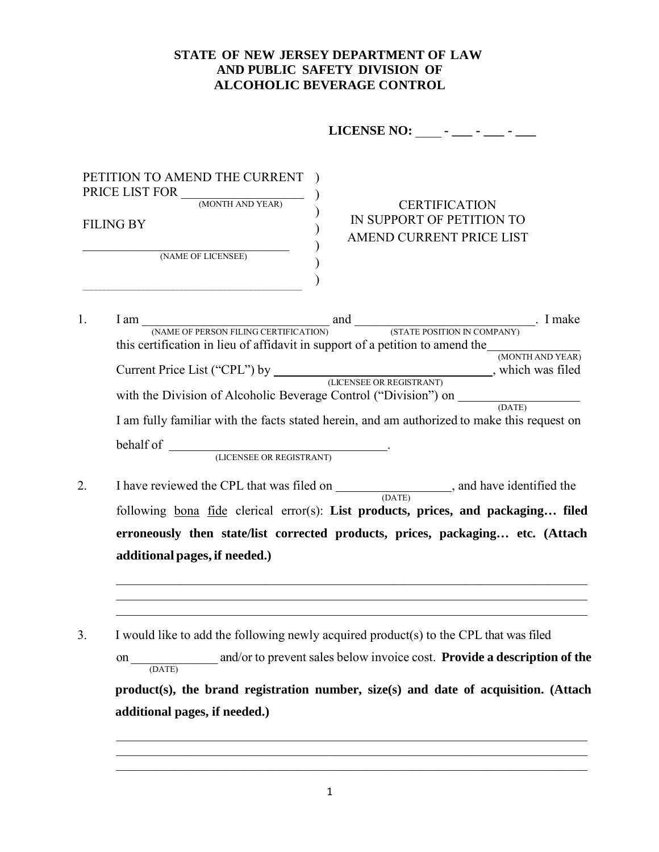## **STATE OF NEW JERSEY DEPARTMENT OF LAW AND PUBLIC SAFETY DIVISION OF ALCOHOLIC BEVERAGE CONTROL**

**LICENSE NO:** \_\_\_\_ **- \_\_\_ - \_\_\_ - \_\_\_**

| PETITION TO AMEND THE CURRENT<br>PRICE LIST FOR<br>(MONTH AND YEAR) | <b>CERTIFICATION</b>                                  |
|---------------------------------------------------------------------|-------------------------------------------------------|
| FILING BY                                                           | IN SUPPORT OF PETITION TO<br>AMEND CURRENT PRICE LIST |
| (NAME OF LICENSEE)                                                  |                                                       |

- 1. I am \_\_\_\_\_\_\_\_\_\_\_\_\_\_\_\_\_\_\_\_\_\_\_\_\_\_\_\_\_ and \_\_\_\_\_\_\_\_\_\_\_\_\_\_\_\_\_\_\_\_\_\_\_\_\_\_\_\_. I make (NAME OF PERSON FILING CERTIFICATION) (STATE POSITION IN COMPANY) this certification in lieu of affidavit in support of a petition to amend the  $\frac{(MONTH AND YEAR)}{(MONTH AND YEAR)}$ Current Price List ("CPL") by (LICENSEE OR REGISTRANT), which was filed (LICENSEE OR REGISTRANT) with the Division of Alcoholic Beverage Control ("Division") on (DATE) I am fully familiar with the facts stated herein, and am authorized to make this request on behalf of <u>CICENSEE OR REGISTRANT</u>
	-
- 2. I have reviewed the CPL that was filed on \_\_\_\_\_\_\_\_\_\_\_\_\_\_\_\_\_\_, and have identified the (DATE) following bona fide clerical error(s): **List products, prices, and packaging… filed erroneously then state/list corrected products, prices, packaging… etc. (Attach additional pages, if needed.)**
- 3. I would like to add the following newly acquired product(s) to the CPL that was filed

and/or to prevent sales below invoice cost. **Provide a description of the**  $\frac{on}{\sqrt{OATE}}$ **product(s), the brand registration number, size(s) and date of acquisition. (Attach additional pages, if needed.)**

 $\_$  , and the set of the set of the set of the set of the set of the set of the set of the set of the set of the set of the set of the set of the set of the set of the set of the set of the set of the set of the set of th

 $\_$  , and the set of the set of the set of the set of the set of the set of the set of the set of the set of the set of the set of the set of the set of the set of the set of the set of the set of the set of the set of th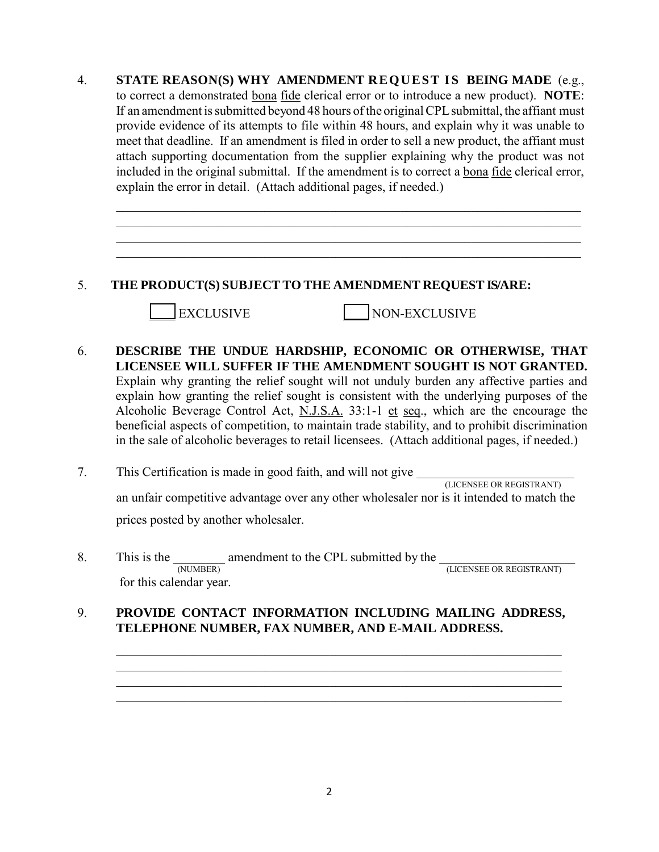4. STATE REASON(S) WHY AMENDMENT REQUEST IS BEING MADE (e.g., to correct a demonstrated bona fide clerical error or to introduce a new product). **NOTE**: If an amendment is submitted beyond 48 hours of the original CPL submittal, the affiant must provide evidence of its attempts to file within 48 hours, and explain why it was unable to meet that deadline. If an amendment is filed in order to sell a new product, the affiant must attach supporting documentation from the supplier explaining why the product was not included in the original submittal. If the amendment is to correct a bona fide clerical error, explain the error in detail. (Attach additional pages, if needed.)

 $\mathcal{L}_\text{G}$  , and the contribution of the contribution of the contribution of the contribution of the contribution of the contribution of the contribution of the contribution of the contribution of the contribution of t

## 5. **THE PRODUCT(S) SUBJECT TO THE AMENDMENT REQUEST IS/ARE:**

|EXCLUSIVE NON-EXCLUSIVE

- 6. **DESCRIBE THE UNDUE HARDSHIP, ECONOMIC OR OTHERWISE, THAT LICENSEE WILL SUFFER IF THE AMENDMENT SOUGHT IS NOT GRANTED.** Explain why granting the relief sought will not unduly burden any affective parties and explain how granting the relief sought is consistent with the underlying purposes of the Alcoholic Beverage Control Act, N.J.S.A. 33:1-1 et seq., which are the encourage the beneficial aspects of competition, to maintain trade stability, and to prohibit discrimination in the sale of alcoholic beverages to retail licensees. (Attach additional pages, if needed.)
- 7. This Certification is made in good faith, and will not give  $\frac{1}{\sqrt{LICENSEER} \times REGISTRANT}$ an unfair competitive advantage over any other wholesaler nor is it intended to match the prices posted by another wholesaler.
- 8. This is the  $\frac{1}{(NUMBER)}$  amendment to the CPL submitted by the  $\frac{1}{(LICENSEE OR REGISTRANT)}$ for this calendar year.

## 9. **PROVIDE CONTACT INFORMATION INCLUDING MAILING ADDRESS, TELEPHONE NUMBER, FAX NUMBER, AND E-MAIL ADDRESS.**

 $\mathcal{L}_\text{max} = \frac{1}{2} \sum_{i=1}^{n} \mathcal{L}_i \mathcal{L}_i + \frac{1}{2} \sum_{i=1}^{n} \mathcal{L}_i \mathcal{L}_i + \frac{1}{2} \sum_{i=1}^{n} \mathcal{L}_i \mathcal{L}_i + \frac{1}{2} \sum_{i=1}^{n} \mathcal{L}_i \mathcal{L}_i + \frac{1}{2} \sum_{i=1}^{n} \mathcal{L}_i \mathcal{L}_i + \frac{1}{2} \sum_{i=1}^{n} \mathcal{L}_i \mathcal{L}_i + \frac{1}{2} \sum_{i=1}^{n$ 

 $\_$  , and the set of the set of the set of the set of the set of the set of the set of the set of the set of the set of the set of the set of the set of the set of the set of the set of the set of the set of the set of th \_\_\_\_\_\_\_\_\_\_\_\_\_\_\_\_\_\_\_\_\_\_\_\_\_\_\_\_\_\_\_\_\_\_\_\_\_\_\_\_\_\_\_\_\_\_\_\_\_\_\_\_\_\_\_\_\_\_\_\_\_\_\_\_\_\_\_\_\_ \_\_\_\_\_\_\_\_\_\_\_\_\_\_\_\_\_\_\_\_\_\_\_\_\_\_\_\_\_\_\_\_\_\_\_\_\_\_\_\_\_\_\_\_\_\_\_\_\_\_\_\_\_\_\_\_\_\_\_\_\_\_\_\_\_\_\_\_\_